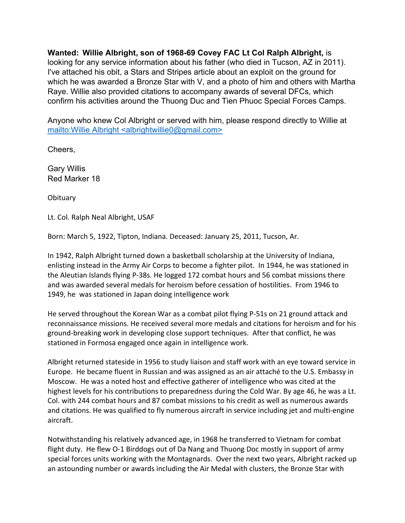**Wanted: Willie Albright, son of 1968-69 Covey FAC Lt Col Ralph Albright,** is looking for any service information about his father (who died in Tucson, AZ in 2011). I've attached his obit, a Stars and Stripes article about an exploit on the ground for which he was awarded a Bronze Star with V, and a photo of him and others with Martha Raye. Willie also provided citations to accompany awards of several DFCs, which confirm his activities around the Thuong Duc and Tien Phuoc Special Forces Camps.

Anyone who knew Col Albright or served with him, please respond directly to Willie at mailto:Willie Albright <albrightwillie0@gmail.com>

Cheers,

Gary Willis Red Marker 18

**Obituary** 

Lt. Col. Ralph Neal Albright, USAF

Born: March 5, 1922, Tipton, Indiana. Deceased: January 25, 2011, Tucson, Ar.

In 1942, Ralph Albright turned down a basketball scholarship at the University of Indiana, enlisting instead in the Army Air Corps to become a fighter pilot. In 1944, he was stationed in the Aleutian Islands flying P-38s. He logged 172 combat hours and 56 combat missions there and was awarded several medals for heroism before cessation of hostilities. From 1946 to 1949, he was stationed in Japan doing intelligence work

He served throughout the Korean War as a combat pilot flying P-51s on 21 ground attack and reconnaissance missions. He received several more medals and citations for heroism and for his ground-breaking work in developing close support techniques. After that conflict, he was stationed in Formosa engaged once again in intelligence work.

Albright returned stateside in 1956 to study liaison and staff work with an eye toward service in Europe. He became fluent in Russian and was assigned as an air attaché to the U.S. Embassy in Moscow. He was a noted host and effective gatherer of intelligence who was cited at the highest levels for his contributions to preparedness during the Cold War. By age 46, he was a Lt. Col. with 244 combat hours and 87 combat missions to his credit as well as numerous awards and citations. He was qualified to fly numerous aircraft in service including jet and multi-engine aircraft.

Notwithstanding his relatively advanced age, in 1968 he transferred to Vietnam for combat flight duty. He flew O-1 Birddogs out of Da Nang and Thuong Doc mostly in support of army special forces units working with the Montagnards. Over the next two years, Albright racked up an astounding number or awards including the Air Medal with clusters, the Bronze Star with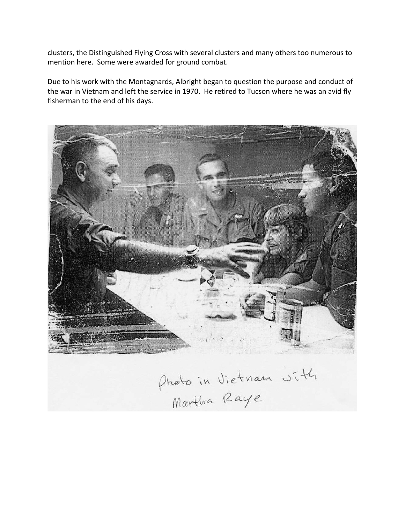clusters, the Distinguished Flying Cross with several clusters and many others too numerous to mention here. Some were awarded for ground combat.

Due to his work with the Montagnards, Albright began to question the purpose and conduct of the war in Vietnam and left the service in 1970. He retired to Tucson where he was an avid fly fisherman to the end of his days.